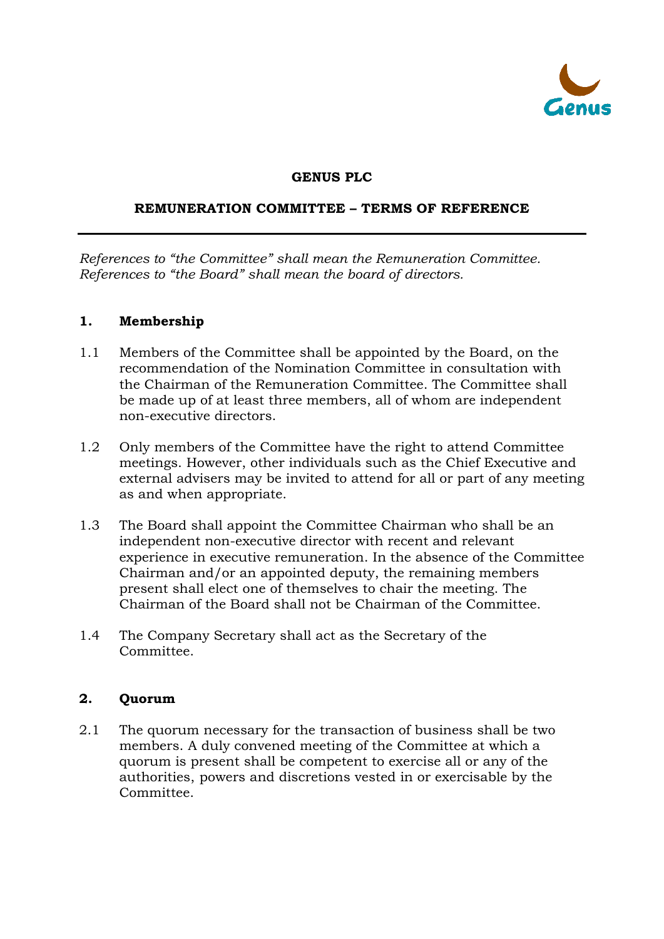

### **GENUS PLC**

#### **REMUNERATION COMMITTEE – TERMS OF REFERENCE**

*References to "the Committee" shall mean the Remuneration Committee. References to "the Board" shall mean the board of directors.*

#### **1. Membership**

- 1.1 Members of the Committee shall be appointed by the Board, on the recommendation of the Nomination Committee in consultation with the Chairman of the Remuneration Committee. The Committee shall be made up of at least three members, all of whom are independent non-executive directors.
- 1.2 Only members of the Committee have the right to attend Committee meetings. However, other individuals such as the Chief Executive and external advisers may be invited to attend for all or part of any meeting as and when appropriate.
- 1.3 The Board shall appoint the Committee Chairman who shall be an independent non-executive director with recent and relevant experience in executive remuneration. In the absence of the Committee Chairman and/or an appointed deputy, the remaining members present shall elect one of themselves to chair the meeting. The Chairman of the Board shall not be Chairman of the Committee.
- 1.4 The Company Secretary shall act as the Secretary of the Committee.

### **2. Quorum**

2.1 The quorum necessary for the transaction of business shall be two members. A duly convened meeting of the Committee at which a quorum is present shall be competent to exercise all or any of the authorities, powers and discretions vested in or exercisable by the Committee.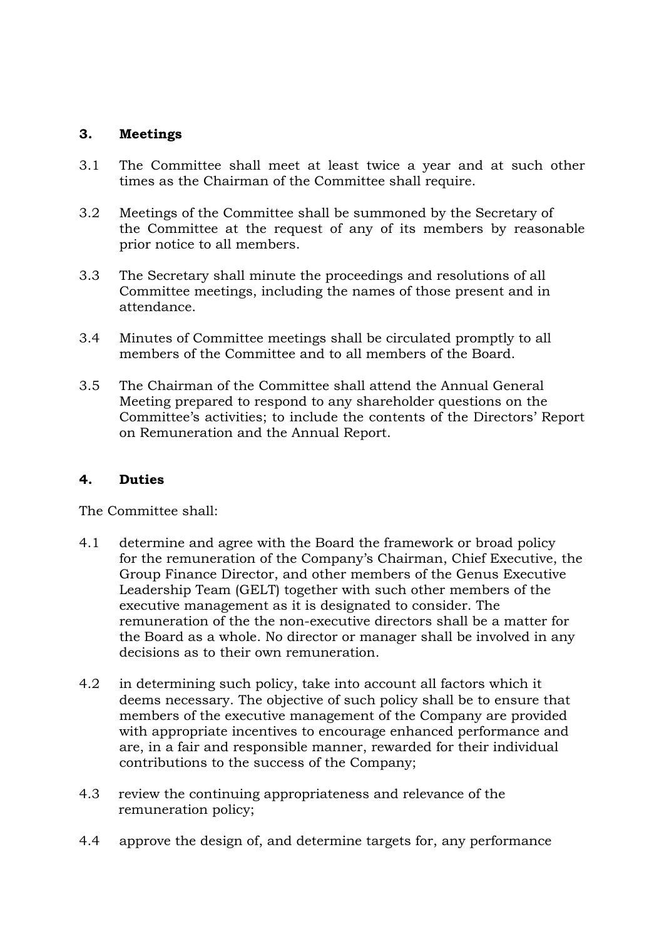### **3. Meetings**

- 3.1 The Committee shall meet at least twice a year and at such other times as the Chairman of the Committee shall require.
- 3.2 Meetings of the Committee shall be summoned by the Secretary of the Committee at the request of any of its members by reasonable prior notice to all members.
- 3.3 The Secretary shall minute the proceedings and resolutions of all Committee meetings, including the names of those present and in attendance.
- 3.4 Minutes of Committee meetings shall be circulated promptly to all members of the Committee and to all members of the Board.
- 3.5 The Chairman of the Committee shall attend the Annual General Meeting prepared to respond to any shareholder questions on the Committee's activities; to include the contents of the Directors' Report on Remuneration and the Annual Report.

### **4. Duties**

The Committee shall:

- 4.1 determine and agree with the Board the framework or broad policy for the remuneration of the Company's Chairman, Chief Executive, the Group Finance Director, and other members of the Genus Executive Leadership Team (GELT) together with such other members of the executive management as it is designated to consider. The remuneration of the the non-executive directors shall be a matter for the Board as a whole. No director or manager shall be involved in any decisions as to their own remuneration.
- 4.2 in determining such policy, take into account all factors which it deems necessary. The objective of such policy shall be to ensure that members of the executive management of the Company are provided with appropriate incentives to encourage enhanced performance and are, in a fair and responsible manner, rewarded for their individual contributions to the success of the Company;
- 4.3 review the continuing appropriateness and relevance of the remuneration policy;
- 4.4 approve the design of, and determine targets for, any performance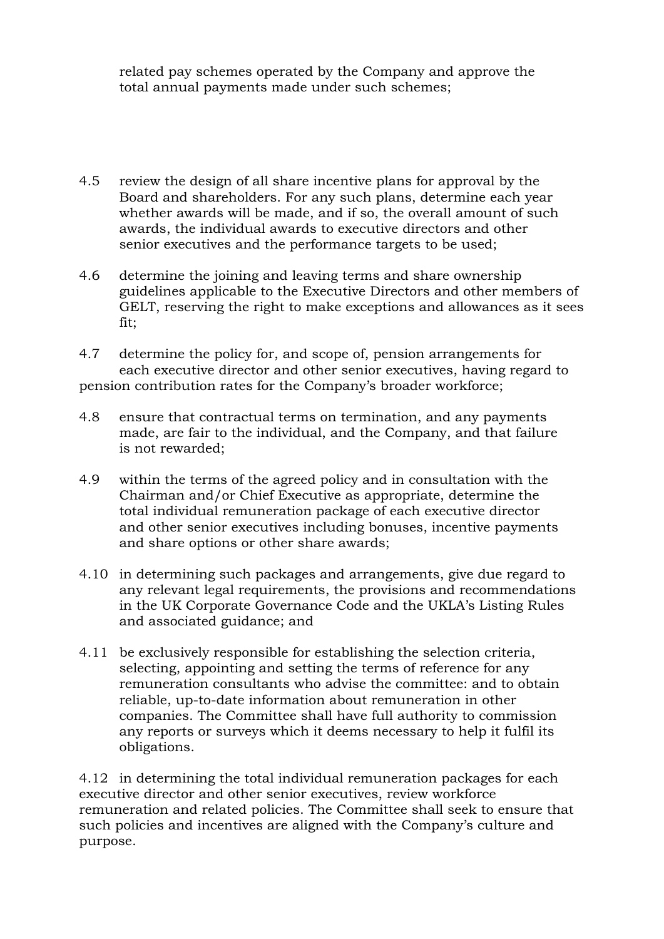related pay schemes operated by the Company and approve the total annual payments made under such schemes;

- 4.5 review the design of all share incentive plans for approval by the Board and shareholders. For any such plans, determine each year whether awards will be made, and if so, the overall amount of such awards, the individual awards to executive directors and other senior executives and the performance targets to be used;
- 4.6 determine the joining and leaving terms and share ownership guidelines applicable to the Executive Directors and other members of GELT, reserving the right to make exceptions and allowances as it sees fit;
- 4.7 determine the policy for, and scope of, pension arrangements for each executive director and other senior executives, having regard to pension contribution rates for the Company's broader workforce;
- 4.8 ensure that contractual terms on termination, and any payments made, are fair to the individual, and the Company, and that failure is not rewarded;
- 4.9 within the terms of the agreed policy and in consultation with the Chairman and/or Chief Executive as appropriate, determine the total individual remuneration package of each executive director and other senior executives including bonuses, incentive payments and share options or other share awards;
- 4.10 in determining such packages and arrangements, give due regard to any relevant legal requirements, the provisions and recommendations in the UK Corporate Governance Code and the UKLA's Listing Rules and associated guidance; and
- 4.11 be exclusively responsible for establishing the selection criteria, selecting, appointing and setting the terms of reference for any remuneration consultants who advise the committee: and to obtain reliable, up-to-date information about remuneration in other companies. The Committee shall have full authority to commission any reports or surveys which it deems necessary to help it fulfil its obligations.

4.12 in determining the total individual remuneration packages for each executive director and other senior executives, review workforce remuneration and related policies. The Committee shall seek to ensure that such policies and incentives are aligned with the Company's culture and purpose.